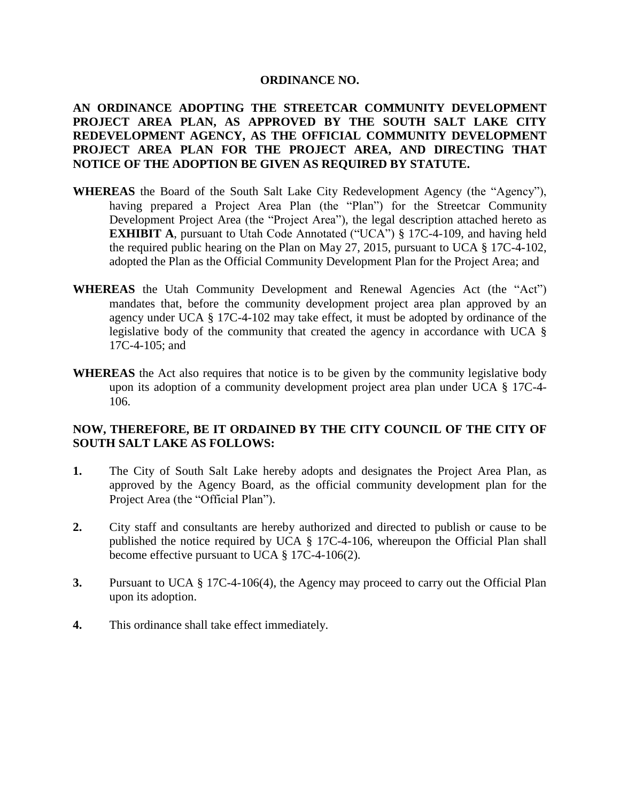### **ORDINANCE NO.**

**AN ORDINANCE ADOPTING THE STREETCAR COMMUNITY DEVELOPMENT PROJECT AREA PLAN, AS APPROVED BY THE SOUTH SALT LAKE CITY REDEVELOPMENT AGENCY, AS THE OFFICIAL COMMUNITY DEVELOPMENT PROJECT AREA PLAN FOR THE PROJECT AREA, AND DIRECTING THAT NOTICE OF THE ADOPTION BE GIVEN AS REQUIRED BY STATUTE.**

- **WHEREAS** the Board of the South Salt Lake City Redevelopment Agency (the "Agency"), having prepared a Project Area Plan (the "Plan") for the Streetcar Community Development Project Area (the "Project Area"), the legal description attached hereto as **EXHIBIT A**, pursuant to Utah Code Annotated ("UCA") § 17C-4-109, and having held the required public hearing on the Plan on May 27, 2015, pursuant to UCA § 17C-4-102, adopted the Plan as the Official Community Development Plan for the Project Area; and
- **WHEREAS** the Utah Community Development and Renewal Agencies Act (the "Act") mandates that, before the community development project area plan approved by an agency under UCA § 17C-4-102 may take effect, it must be adopted by ordinance of the legislative body of the community that created the agency in accordance with UCA § 17C-4-105; and
- **WHEREAS** the Act also requires that notice is to be given by the community legislative body upon its adoption of a community development project area plan under UCA § 17C-4- 106.

## **NOW, THEREFORE, BE IT ORDAINED BY THE CITY COUNCIL OF THE CITY OF SOUTH SALT LAKE AS FOLLOWS:**

- **1.** The City of South Salt Lake hereby adopts and designates the Project Area Plan, as approved by the Agency Board, as the official community development plan for the Project Area (the "Official Plan").
- **2.** City staff and consultants are hereby authorized and directed to publish or cause to be published the notice required by UCA § 17C-4-106, whereupon the Official Plan shall become effective pursuant to UCA § 17C-4-106(2).
- **3.** Pursuant to UCA § 17C-4-106(4), the Agency may proceed to carry out the Official Plan upon its adoption.
- **4.** This ordinance shall take effect immediately.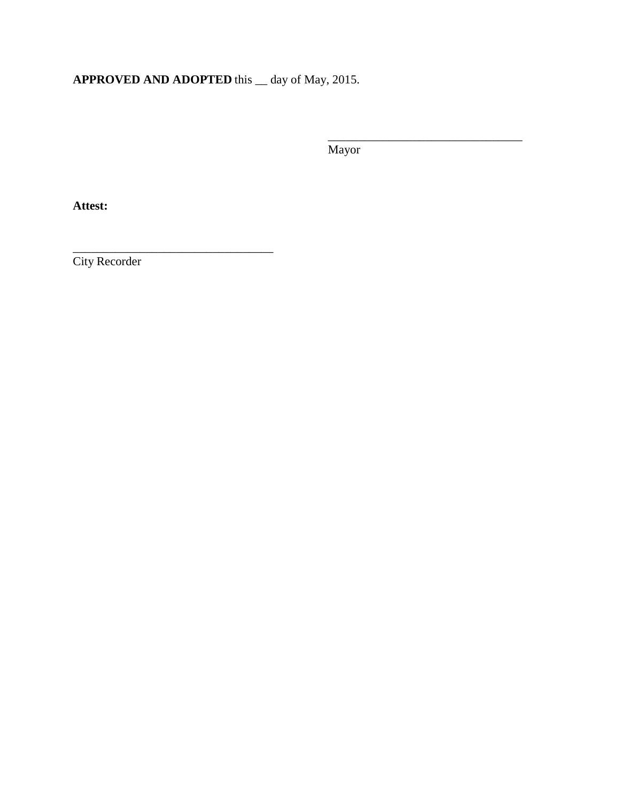# **APPROVED AND ADOPTED** this \_\_ day of May, 2015.

Mayor

\_\_\_\_\_\_\_\_\_\_\_\_\_\_\_\_\_\_\_\_\_\_\_\_\_\_\_\_\_\_\_\_

**Attest:**

City Recorder

\_\_\_\_\_\_\_\_\_\_\_\_\_\_\_\_\_\_\_\_\_\_\_\_\_\_\_\_\_\_\_\_\_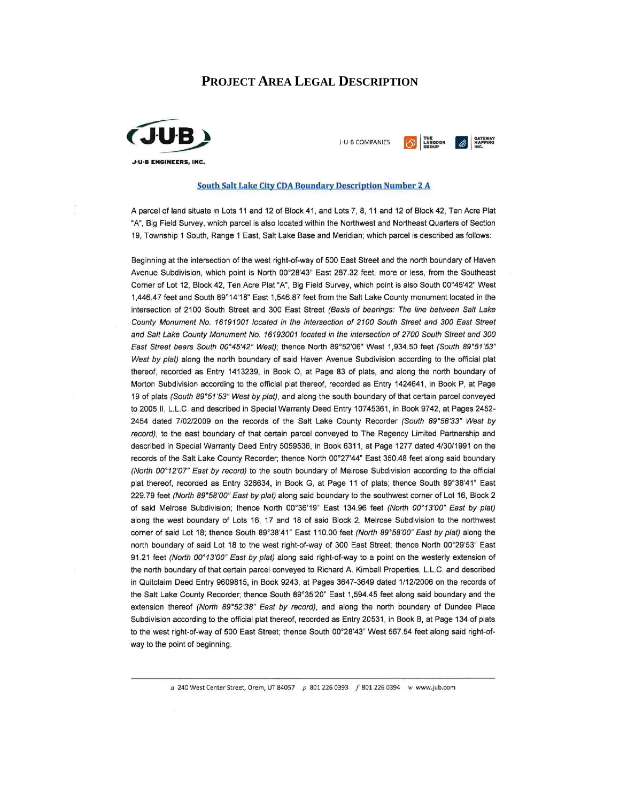### **PROJECT AREA LEGAL DESCRIPTION**



O LANGDON A MAPPING J-U-B COMPANIES

#### **South Salt Lake City CDA Boundary Description Number 2 A**

A parcel of land situate in Lots 11 and 12 of Block 41, and Lots 7, 8, 11 and 12 of Block 42, Ten Acre Plat "A", Big Field Survey, which parcel is also located within the Northwest and Northeast Quarters of Section 19, Township 1 South, Range 1 East, Salt Lake Base and Meridian; which parcel is described as follows:

Beginning at the intersection of the west right-of-way of 500 East Street and the north boundary of Haven Avenue Subdivision, which point is North 00°28'43" East 287.32 feet, more or less, from the Southeast Corner of Lot 12, Block 42, Ten Acre Plat "A", Big Field Survey, which point is also South 00°45'42" West 1,446.47 feet and South 89°14'18" East 1,546.87 feet from the Salt Lake County monument located in the intersection of 2100 South Street and 300 East Street (Basis of bearings: The line between Salt Lake County Monument No. 16191001 located in the intersection of 2100 South Street and 300 East Street and Salt Lake County Monument No. 16193001 located in the intersection of 2700 South Street and 300 East Street bears South 00°45'42" West); thence North 89°52'06" West 1,934.50 feet (South 89°51'53" West by plat) along the north boundary of said Haven Avenue Subdivision according to the official plat thereof, recorded as Entry 1413239, in Book O, at Page 83 of plats, and along the north boundary of Morton Subdivision according to the official plat thereof, recorded as Entry 1424641, in Book P, at Page 19 of plats (South 89°51'53" West by plat), and along the south boundary of that certain parcel conveyed to 2005 II, L.L.C. and described in Special Warranty Deed Entry 10745361, in Book 9742, at Pages 2452-2454 dated 7/02/2009 on the records of the Salt Lake County Recorder (South 89°58'33" West by record), to the east boundary of that certain parcel conveyed to The Regency Limited Partnership and described in Special Warranty Deed Entry 5059536, in Book 6311, at Page 1277 dated 4/30/1991 on the records of the Salt Lake County Recorder; thence North 00°27'44" East 350.48 feet along said boundary (North 00°12'07" East by record) to the south boundary of Melrose Subdivision according to the official plat thereof, recorded as Entry 326634, in Book G, at Page 11 of plats; thence South 89°38'41" East 229.79 feet (North 89°58'00" East by plat) along said boundary to the southwest corner of Lot 16, Block 2 of said Melrose Subdivision; thence North 00°36'19" East 134.96 feet (North 00°13'00" East by plat) along the west boundary of Lots 16, 17 and 18 of said Block 2, Melrose Subdivision to the northwest corner of said Lot 18; thence South 89°38'41" East 110.00 feet (North 89°58'00" East by plat) along the north boundary of said Lot 18 to the west right-of-way of 300 East Street; thence North 00°29'53" East 91.21 feet (North 00°13'00" East by plat) along said right-of-way to a point on the westerly extension of the north boundary of that certain parcel conveyed to Richard A. Kimball Properties, L.L.C. and described in Quitclaim Deed Entry 9609815, in Book 9243, at Pages 3647-3649 dated 1/12/2006 on the records of the Salt Lake County Recorder; thence South 89°35'20" East 1,594.45 feet along said boundary and the extension thereof (North 89°52'38" East by record), and along the north boundary of Dundee Place Subdivision according to the official plat thereof, recorded as Entry 20531, in Book B, at Page 134 of plats to the west right-of-way of 500 East Street; thence South 00°28'43" West 567.54 feet along said right-ofway to the point of beginning.

a 240 West Center Street, Orem, UT 84057 p 801 226 0393 f 801 226 0394 w www.jub.com